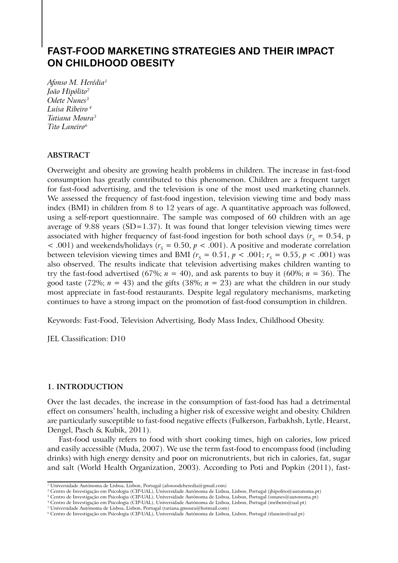# **FAST-FOOD MARKETING STRATEGIES AND THEIR IMPACT ON CHILDHOOD OBESITY**

*Afonso M. Herédia1 João Hipólito2 Odete Nunes3 Luísa Ribeiro 4 Tatiana Moura5 Tito Laneiro6*

### **Abstract**

Overweight and obesity are growing health problems in children. The increase in fast-food consumption has greatly contributed to this phenomenon. Children are a frequent target for fast-food advertising, and the television is one of the most used marketing channels. We assessed the frequency of fast-food ingestion, television viewing time and body mass index (BMI) in children from 8 to 12 years of age. A quantitative approach was followed, using a self-report questionnaire. The sample was composed of 60 children with an age average of 9.88 years  $(SD=1.37)$ . It was found that longer television viewing times were associated with higher frequency of fast-food ingestion for both school days ( $r_s = 0.54$ , p  $<$  .001) and weekends/holidays ( $r<sub>s</sub> = 0.50, p < .001$ ). A positive and moderate correlation between television viewing times and BMI  $(r<sub>s</sub> = 0.51, p < .001; r<sub>s</sub> = 0.55, p < .001)$  was also observed. The results indicate that television advertising makes children wanting to try the fast-food advertised (67%;  $n = 40$ ), and ask parents to buy it (60%;  $n = 36$ ). The good taste (72%;  $n = 43$ ) and the gifts (38%;  $n = 23$ ) are what the children in our study most appreciate in fast-food restaurants. Despite legal regulatory mechanisms, marketing continues to have a strong impact on the promotion of fast-food consumption in children.

Keywords: Fast-Food, Television Advertising, Body Mass Index, Childhood Obesity.

JEL Classification: D10

#### **1. Introduction**

Over the last decades, the increase in the consumption of fast-food has had a detrimental effect on consumers' health, including a higher risk of excessive weight and obesity. Children are particularly susceptible to fast-food negative effects (Fulkerson, Farbakhsh, Lytle, Hearst, Dengel, Pasch & Kubik, 2011).

Fast-food usually refers to food with short cooking times, high on calories, low priced and easily accessible (Muda, 2007). We use the term fast-food to encompass food (including drinks) with high energy density and poor on micronutrients, but rich in calories, fat, sugar and salt (World Health Organization, 2003). According to Poti and Popkin (2011), fast-

<sup>&</sup>lt;sup>1</sup> Universidade Autónoma de Lisboa, Lisbon, Portugal (afonsodeheredia@gmail.com)

 $^2$  Centro de Investigação em Psicologia (CIP-UAL), Universidade Autónoma de Lisboa, Lisbon, Portugal (jhipolito@autonoma.pt)

 $^3$  Centro de Investigação em Psicologia (CIP-UAL), Universidade Autónoma de Lisboa, Lisbon, Portugal (onunes@autonoma.pt)

<sup>4</sup> Centro de Investigação em Psicologia (CIP-UAL), Universidade Autónoma de Lisboa, Lisbon, Portugal (mribeiro@ual.pt)

<sup>5</sup> Universidade Autónoma de Lisboa, Lisbon, Portugal (tatiana.gmoura@hotmail.com)

<sup>6</sup> Centro de Investigação em Psicologia (CIP-UAL), Universidade Autónoma de Lisboa, Lisbon, Portugal (tlaneiro@ual.pt)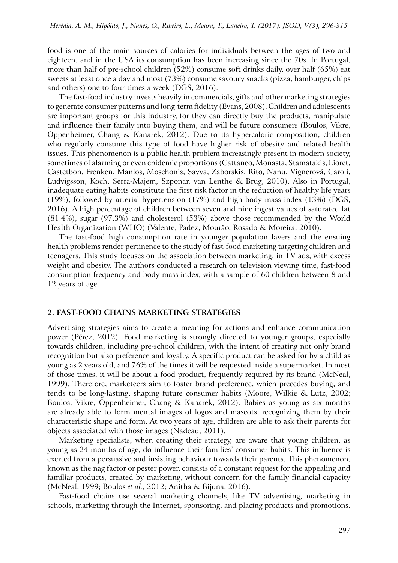food is one of the main sources of calories for individuals between the ages of two and eighteen, and in the USA its consumption has been increasing since the 70s. In Portugal, more than half of pre-school children (52%) consume soft drinks daily, over half (65%) eat sweets at least once a day and most (73%) consume savoury snacks (pizza, hamburger, chips and others) one to four times a week (DGS, 2016).

The fast-food industry invests heavily in commercials, gifts and other marketing strategies to generate consumer patterns and long-term fidelity (Evans, 2008). Children and adolescents are important groups for this industry, for they can directly buy the products, manipulate and influence their family into buying them, and will be future consumers (Boulos, Vikre, Oppenheimer, Chang & Kanarek, 2012). Due to its hypercaloric composition, children who regularly consume this type of food have higher risk of obesity and related health issues. This phenomenon is a public health problem increasingly present in modern society, sometimes of alarming or even epidemic proportions (Cattaneo, Monasta, Stamatakis, Lioret, Castetbon, Frenken, Manios, Moschonis, Savva, Zaborskis, Rito, Nanu, Vignerová, Caroli, Ludvigsson, Koch, Serra-Majem, Szponar, van Lenthe & Brug, 2010). Also in Portugal, inadequate eating habits constitute the first risk factor in the reduction of healthy life years (19%), followed by arterial hypertension (17%) and high body mass index (13%) (DGS, 2016). A high percentage of children between seven and nine ingest values of saturated fat (81.4%), sugar (97.3%) and cholesterol (53%) above those recommended by the World Health Organization (WHO) (Valente, Padez, Mourão, Rosado & Moreira, 2010).

The fast-food high consumption rate in younger population layers and the ensuing health problems render pertinence to the study of fast-food marketing targeting children and teenagers. This study focuses on the association between marketing, in TV ads, with excess weight and obesity. The authors conducted a research on television viewing time, fast-food consumption frequency and body mass index, with a sample of 60 children between 8 and 12 years of age.

### **2. Fast-Food Chains Marketing Strategies**

Advertising strategies aims to create a meaning for actions and enhance communication power (Pérez, 2012). Food marketing is strongly directed to younger groups, especially towards children, including pre-school children, with the intent of creating not only brand recognition but also preference and loyalty. A specific product can be asked for by a child as young as 2 years old, and 76% of the times it will be requested inside a supermarket. In most of those times, it will be about a food product, frequently required by its brand (McNeal, 1999). Therefore, marketeers aim to foster brand preference, which precedes buying, and tends to be long-lasting, shaping future consumer habits (Moore, Wilkie & Lutz, 2002; Boulos, Vikre, Oppenheimer, Chang & Kanarek, 2012). Babies as young as six months are already able to form mental images of logos and mascots, recognizing them by their characteristic shape and form. At two years of age, children are able to ask their parents for objects associated with those images (Nadeau, 2011).

Marketing specialists, when creating their strategy, are aware that young children, as young as 24 months of age, do influence their families' consumer habits. This influence is exerted from a persuasive and insisting behaviour towards their parents. This phenomenon, known as the nag factor or pester power, consists of a constant request for the appealing and familiar products, created by marketing, without concern for the family financial capacity (McNeal, 1999; Boulos *et al.*, 2012; Anitha & Bijuna, 2016).

Fast-food chains use several marketing channels, like TV advertising, marketing in schools, marketing through the Internet, sponsoring, and placing products and promotions.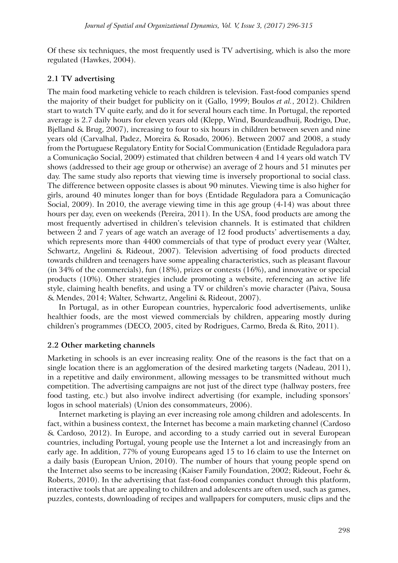Of these six techniques, the most frequently used is TV advertising, which is also the more regulated (Hawkes, 2004).

### **2.1 TV advertising**

The main food marketing vehicle to reach children is television. Fast-food companies spend the majority of their budget for publicity on it (Gallo, 1999; Boulos *et al.*, 2012). Children start to watch TV quite early, and do it for several hours each time. In Portugal, the reported average is 2.7 daily hours for eleven years old (Klepp, Wind, Bourdeaudhuij, Rodrigo, Due, Bjelland & Brug, 2007), increasing to four to six hours in children between seven and nine years old (Carvalhal, Padez, Moreira & Rosado, 2006). Between 2007 and 2008, a study from the Portuguese Regulatory Entity for Social Communication (Entidade Reguladora para a Comunicação Social, 2009) estimated that children between 4 and 14 years old watch TV shows (addressed to their age group or otherwise) an average of 2 hours and 51 minutes per day. The same study also reports that viewing time is inversely proportional to social class. The difference between opposite classes is about 90 minutes. Viewing time is also higher for girls, around 40 minutes longer than for boys (Entidade Reguladora para a Comunicação Social, 2009). In 2010, the average viewing time in this age group (4-14) was about three hours per day, even on weekends (Pereira, 2011). In the USA, food products are among the most frequently advertised in children's television channels. It is estimated that children between 2 and 7 years of age watch an average of 12 food products' advertisements a day, which represents more than 4400 commercials of that type of product every year (Walter, Schwartz, Angelini & Rideout, 2007). Television advertising of food products directed towards children and teenagers have some appealing characteristics, such as pleasant flavour (in 34% of the commercials), fun (18%), prizes or contests (16%), and innovative or special products (10%). Other strategies include promoting a website, referencing an active life style, claiming health benefits, and using a TV or children's movie character (Paiva, Sousa & Mendes, 2014; Walter, Schwartz, Angelini & Rideout, 2007).

In Portugal, as in other European countries, hypercaloric food advertisements, unlike healthier foods, are the most viewed commercials by children, appearing mostly during children's programmes (DECO, 2005, cited by Rodrigues, Carmo, Breda & Rito, 2011).

### **2.2 Other marketing channels**

Marketing in schools is an ever increasing reality. One of the reasons is the fact that on a single location there is an agglomeration of the desired marketing targets (Nadeau, 2011), in a repetitive and daily environment, allowing messages to be transmitted without much competition. The advertising campaigns are not just of the direct type (hallway posters, free food tasting, etc.) but also involve indirect advertising (for example, including sponsors' logos in school materials) (Union des consommateurs, 2006).

Internet marketing is playing an ever increasing role among children and adolescents. In fact, within a business context, the Internet has become a main marketing channel (Cardoso & Cardoso, 2012). In Europe, and according to a study carried out in several European countries, including Portugal, young people use the Internet a lot and increasingly from an early age. In addition, 77% of young Europeans aged 15 to 16 claim to use the Internet on a daily basis (European Union, 2010). The number of hours that young people spend on the Internet also seems to be increasing (Kaiser Family Foundation, 2002; Rideout, Foehr & Roberts, 2010). In the advertising that fast-food companies conduct through this platform, interactive tools that are appealing to children and adolescents are often used, such as games, puzzles, contests, downloading of recipes and wallpapers for computers, music clips and the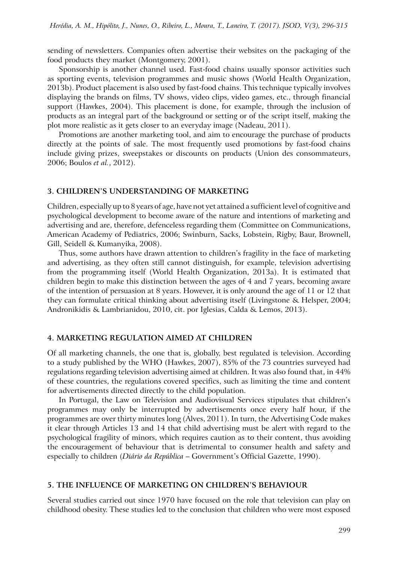sending of newsletters. Companies often advertise their websites on the packaging of the food products they market (Montgomery, 2001).

Sponsorship is another channel used. Fast-food chains usually sponsor activities such as sporting events, television programmes and music shows (World Health Organization, 2013b). Product placement is also used by fast-food chains. This technique typically involves displaying the brands on films, TV shows, video clips, video games, etc., through financial support (Hawkes, 2004). This placement is done, for example, through the inclusion of products as an integral part of the background or setting or of the script itself, making the plot more realistic as it gets closer to an everyday image (Nadeau, 2011).

Promotions are another marketing tool, and aim to encourage the purchase of products directly at the points of sale. The most frequently used promotions by fast-food chains include giving prizes, sweepstakes or discounts on products (Union des consommateurs, 2006; Boulos *et al.*, 2012).

#### **3. Children's Understanding of Marketing**

Children, especially up to 8 years of age, have not yet attained a sufficient level of cognitive and psychological development to become aware of the nature and intentions of marketing and advertising and are, therefore, defenceless regarding them (Committee on Communications, American Academy of Pediatrics, 2006; Swinburn, Sacks, Lobstein, Rigby, Baur, Brownell, Gill, Seidell & Kumanyika, 2008).

Thus, some authors have drawn attention to children's fragility in the face of marketing and advertising, as they often still cannot distinguish, for example, television advertising from the programming itself (World Health Organization, 2013a). It is estimated that children begin to make this distinction between the ages of 4 and 7 years, becoming aware of the intention of persuasion at 8 years. However, it is only around the age of 11 or 12 that they can formulate critical thinking about advertising itself (Livingstone & Helsper, 2004; Andronikidis & Lambrianidou, 2010, cit. por Iglesias, Calda & Lemos, 2013).

#### **4. Marketing Regulation Aimed at Children**

Of all marketing channels, the one that is, globally, best regulated is television. According to a study published by the WHO (Hawkes, 2007), 85% of the 73 countries surveyed had regulations regarding television advertising aimed at children. It was also found that, in 44% of these countries, the regulations covered specifics, such as limiting the time and content for advertisements directed directly to the child population.

In Portugal, the Law on Television and Audiovisual Services stipulates that children's programmes may only be interrupted by advertisements once every half hour, if the programmes are over thirty minutes long (Alves, 2011). In turn, the Advertising Code makes it clear through Articles 13 and 14 that child advertising must be alert with regard to the psychological fragility of minors, which requires caution as to their content, thus avoiding the encouragement of behaviour that is detrimental to consumer health and safety and especially to children (*Diário da República* – Government's Official Gazette, 1990).

### **5. The Influence of Marketing on Children's Behaviour**

Several studies carried out since 1970 have focused on the role that television can play on childhood obesity. These studies led to the conclusion that children who were most exposed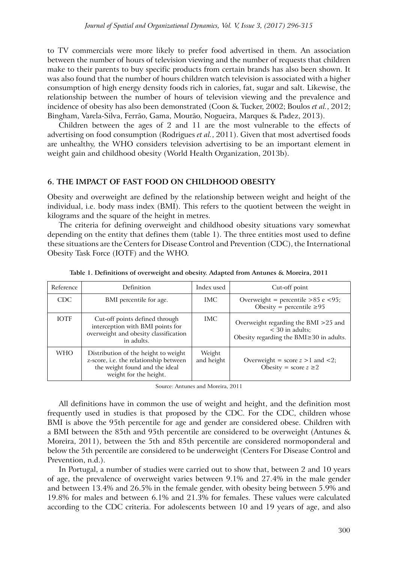to TV commercials were more likely to prefer food advertised in them. An association between the number of hours of television viewing and the number of requests that children make to their parents to buy specific products from certain brands has also been shown. It was also found that the number of hours children watch television is associated with a higher consumption of high energy density foods rich in calories, fat, sugar and salt. Likewise, the relationship between the number of hours of television viewing and the prevalence and incidence of obesity has also been demonstrated (Coon & Tucker, 2002; Boulos *et al.*, 2012; Bingham, Varela-Silva, Ferrão, Gama, Mourão, Nogueira, Marques & Padez, 2013).

Children between the ages of 2 and 11 are the most vulnerable to the effects of advertising on food consumption (Rodrigues *et al.*, 2011). Given that most advertised foods are unhealthy, the WHO considers television advertising to be an important element in weight gain and childhood obesity (World Health Organization, 2013b).

### **6. The Impact of Fast Food on Childhood Obesity**

Obesity and overweight are defined by the relationship between weight and height of the individual, i.e. body mass index (BMI). This refers to the quotient between the weight in kilograms and the square of the height in metres.

The criteria for defining overweight and childhood obesity situations vary somewhat depending on the entity that defines them (table 1). The three entities most used to define these situations are the Centers for Disease Control and Prevention (CDC), the International Obesity Task Force (IOTF) and the WHO.

| Reference   | Definition                                                                                                                                 | Index used           | Cut-off point                                                                                          |
|-------------|--------------------------------------------------------------------------------------------------------------------------------------------|----------------------|--------------------------------------------------------------------------------------------------------|
| CDC.        | BMI percentile for age.                                                                                                                    | IMC.                 | Overweight = percentile > $85$ e < 95;<br>Obesity = percentile $\geq 95$                               |
| <b>IOTF</b> | Cut-off points defined through<br>interception with BMI points for<br>overweight and obesity classification<br>in adults.                  | IMC.                 | Overweight regarding the BMI $>25$ and<br>$<$ 30 in adults:<br>Obesity regarding the BMI≥30 in adults. |
| <b>WHO</b>  | Distribution of the height to weight<br>z-score, i.e. the relationship between<br>the weight found and the ideal<br>weight for the height. | Weight<br>and height | Overweight = score $z > 1$ and <2;<br>Obesity = score $z \ge 2$                                        |

**Table 1. Definitions of overweight and obesity. Adapted from Antunes & Moreira, 2011**

Source: Antunes and Moreira, 2011

All definitions have in common the use of weight and height, and the definition most frequently used in studies is that proposed by the CDC. For the CDC, children whose BMI is above the 95th percentile for age and gender are considered obese. Children with a BMI between the 85th and 95th percentile are considered to be overweight (Antunes & Moreira, 2011), between the 5th and 85th percentile are considered normoponderal and below the 5th percentile are considered to be underweight (Centers For Disease Control and Prevention, n.d.).

In Portugal, a number of studies were carried out to show that, between 2 and 10 years of age, the prevalence of overweight varies between 9.1% and 27.4% in the male gender and between 13.4% and 26.5% in the female gender, with obesity being between 5.9% and 19.8% for males and between 6.1% and 21.3% for females. These values were calculated according to the CDC criteria. For adolescents between 10 and 19 years of age, and also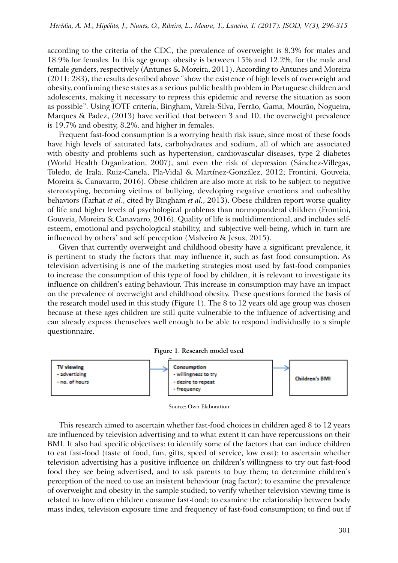according to the criteria of the CDC, the prevalence of overweight is 8.3% for males and 18.9% for females. In this age group, obesity is between 15% and 12.2%, for the male and female genders, respectively (Antunes & Moreira, 2011). According to Antunes and Moreira (2011: 283), the results described above "show the existence of high levels of overweight and obesity, confirming these states as a serious public health problem in Portuguese children and adolescents, making it necessary to repress this epidemic and reverse the situation as soon as possible". Using IOTF criteria, Bingham, Varela-Silva, Ferrão, Gama, Mourão, Nogueira, Marques & Padez, (2013) have verified that between 3 and 10, the overweight prevalence is 19.7% and obesity, 8.2%, and higher in females.

Frequent fast-food consumption is a worrying health risk issue, since most of these foods have high levels of saturated fats, carbohydrates and sodium, all of which are associated with obesity and problems such as hypertension, cardiovascular diseases, type 2 diabetes (World Health Organization, 2007), and even the risk of depression (Sánchez-Villegas, Toledo, de Irala, Ruiz-Canela, Pla-Vidal & Martínez-González, 2012; Frontini, Gouveia, Moreira & Canavarro, 2016). Obese children are also more at risk to be subject to negative stereotyping, becoming victims of bullying, developing negative emotions and unhealthy behaviors (Farhat *et al.*, cited by Bingham *et al.*, 2013). Obese children report worse quality of life and higher levels of psychological problems than normoponderal children (Frontini, Gouveia, Moreira & Canavarro, 2016). Quality of life is multidimentional, and includes selfesteem, emotional and psychological stability, and subjective well-being, which in turn are influenced by others' and self perception (Malveiro & Jesus, 2015).

Given that currently overweight and childhood obesity have a significant prevalence, it is pertinent to study the factors that may influence it, such as fast food consumption. As television advertising is one of the marketing strategies most used by fast-food companies to increase the consumption of this type of food by children, it is relevant to investigate its influence on children's eating behaviour. This increase in consumption may have an impact on the prevalence of overweight and childhood obesity. These questions formed the basis of the research model used in this study (Figure 1). The 8 to 12 years old age group was chosen because at these ages children are still quite vulnerable to the influence of advertising and can already express themselves well enough to be able to respond individually to a simple questionnaire.





Source: Own Elaboration

This research aimed to ascertain whether fast-food choices in children aged 8 to 12 years are influenced by television advertising and to what extent it can have repercussions on their BMI. It also had specific objectives: to identify some of the factors that can induce children to eat fast-food (taste of food, fun, gifts, speed of service, low cost); to ascertain whether television advertising has a positive influence on children's willingness to try out fast-food food they see being advertised, and to ask parents to buy them; to determine children's perception of the need to use an insistent behaviour (nag factor); to examine the prevalence of overweight and obesity in the sample studied; to verify whether television viewing time is related to how often children consume fast-food; to examine the relationship between body mass index, television exposure time and frequency of fast-food consumption; to find out if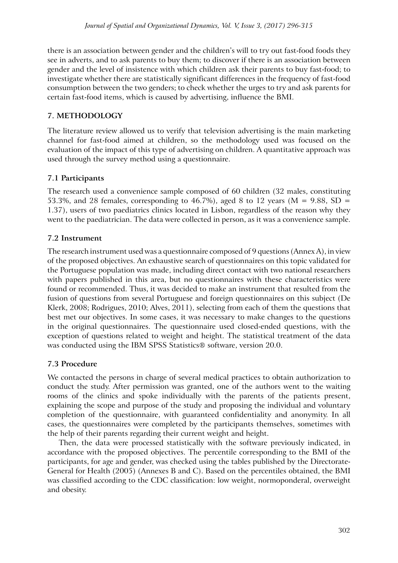there is an association between gender and the children's will to try out fast-food foods they see in adverts, and to ask parents to buy them; to discover if there is an association between gender and the level of insistence with which children ask their parents to buy fast-food; to investigate whether there are statistically significant differences in the frequency of fast-food consumption between the two genders; to check whether the urges to try and ask parents for certain fast-food items, which is caused by advertising, influence the BMI.

# **7. Methodology**

The literature review allowed us to verify that television advertising is the main marketing channel for fast-food aimed at children, so the methodology used was focused on the evaluation of the impact of this type of advertising on children. A quantitative approach was used through the survey method using a questionnaire.

# **7.1 Participants**

The research used a convenience sample composed of 60 children (32 males, constituting 53.3%, and 28 females, corresponding to 46.7%), aged 8 to 12 years ( $M = 9.88$ , SD = 1.37), users of two paediatrics clinics located in Lisbon, regardless of the reason why they went to the paediatrician. The data were collected in person, as it was a convenience sample.

# **7.2 Instrument**

The research instrument used was a questionnaire composed of 9 questions (Annex A), in view of the proposed objectives. An exhaustive search of questionnaires on this topic validated for the Portuguese population was made, including direct contact with two national researchers with papers published in this area, but no questionnaires with these characteristics were found or recommended. Thus, it was decided to make an instrument that resulted from the fusion of questions from several Portuguese and foreign questionnaires on this subject (De Klerk, 2008; Rodrigues, 2010; Alves, 2011), selecting from each of them the questions that best met our objectives. In some cases, it was necessary to make changes to the questions in the original questionnaires. The questionnaire used closed-ended questions, with the exception of questions related to weight and height. The statistical treatment of the data was conducted using the IBM SPSS Statistics® software, version 20.0.

## **7.3 Procedure**

We contacted the persons in charge of several medical practices to obtain authorization to conduct the study. After permission was granted, one of the authors went to the waiting rooms of the clinics and spoke individually with the parents of the patients present, explaining the scope and purpose of the study and proposing the individual and voluntary completion of the questionnaire, with guaranteed confidentiality and anonymity. In all cases, the questionnaires were completed by the participants themselves, sometimes with the help of their parents regarding their current weight and height.

Then, the data were processed statistically with the software previously indicated, in accordance with the proposed objectives. The percentile corresponding to the BMI of the participants, for age and gender, was checked using the tables published by the Directorate-General for Health (2005) (Annexes B and C). Based on the percentiles obtained, the BMI was classified according to the CDC classification: low weight, normoponderal, overweight and obesity.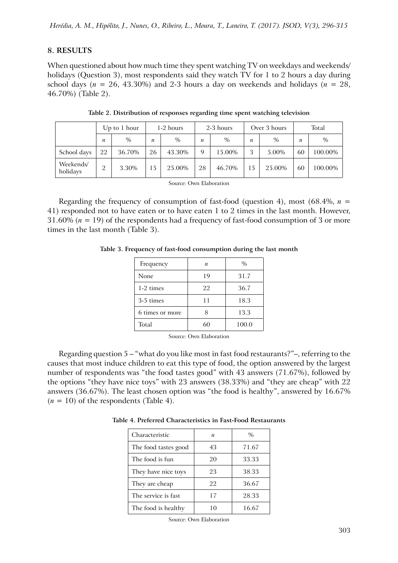### **8. Results**

When questioned about how much time they spent watching TV on weekdays and weekends/ holidays (Question 3), most respondents said they watch TV for 1 to 2 hours a day during school days ( $n = 26$ , 43.30%) and 2-3 hours a day on weekends and holidays ( $n = 28$ , 46.70%) (Table 2).

|                       | Up to $1$ hour   |        | 1-2 hours |               | 2-3 hours |        | Over 3 hours |        | Total |         |
|-----------------------|------------------|--------|-----------|---------------|-----------|--------|--------------|--------|-------|---------|
|                       | $\boldsymbol{n}$ | $\%$   | n         | $\frac{0}{0}$ | n         | $\%$   | n            | $\%$   | n     | $\%$    |
| School days           | 22               | 36.70% | 26        | 43.30%        | 9         | 15.00% |              | 5.00%  | 60    | 100.00% |
| Weekends/<br>holidays | റ                | 3.30%  | 15        | 25.00%        | 28        | 46.70% |              | 25.00% | 60    | 100.00% |

**Table 2. Distribution of responses regarding time spent watching television**

Source: Own Elaboration

Regarding the frequency of consumption of fast-food (question 4), most (68.4%,  $n =$ 41) responded not to have eaten or to have eaten 1 to 2 times in the last month. However, 31.60% (*n* = 19) of the respondents had a frequency of fast-food consumption of 3 or more times in the last month (Table 3).

**Table 3. Frequency of fast-food consumption during the last month**

| Frequency       | n  | $\frac{0}{0}$ |
|-----------------|----|---------------|
| None            | 19 | 31.7          |
| 1-2 times       | 22 | 36.7          |
| 3-5 times       | 11 | 18.3          |
| 6 times or more |    | 13.3          |
| Total           | 60 | 100.0         |

Source: Own Elaboration

Regarding question 5 – "what do you like most in fast food restaurants?"–, referring to the causes that most induce children to eat this type of food, the option answered by the largest number of respondents was "the food tastes good" with 43 answers (71.67%), followed by the options "they have nice toys" with 23 answers (38.33%) and "they are cheap" with 22 answers (36.67%). The least chosen option was "the food is healthy", answered by 16.67%  $(n = 10)$  of the respondents (Table 4).

| Characteristic       | $\boldsymbol{n}$ | $\%$  |
|----------------------|------------------|-------|
| The food tastes good | 43               | 71.67 |
| The food is fun      | 20               | 33.33 |
| They have nice toys  | 23               | 38.33 |
| They are cheap       | 22               | 36.67 |
| The service is fast  | 17               | 28.33 |
| The food is healthy  | 10               | 16.67 |

**Table 4. Preferred Characteristics in Fast-Food Restaurants**

Source: Own Elaboration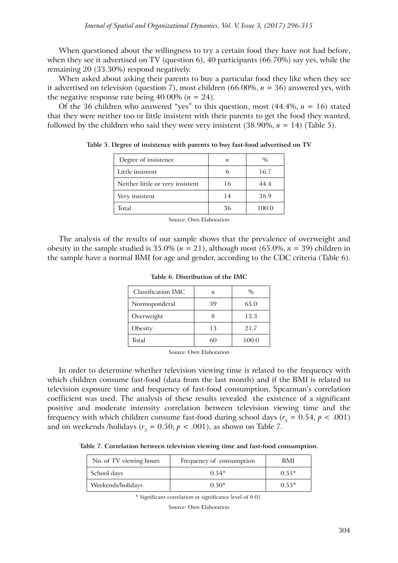When questioned about the willingness to try a certain food they have not had before, when they see it advertised on TV (question 6), 40 participants (66.70%) say yes, while the remaining 20 (33.30%) respond negatively.

When asked about asking their parents to buy a particular food they like when they see it advertised on television (question 7), most children (66.00%, *n* = 36) answered yes, with the negative response rate being  $40.00\%$  ( $n = 24$ ).

Of the 36 children who answered "yes" to this question, most (44.4%, *n* = 16) stated that they were neither too or little insistent with their parents to get the food they wanted, followed by the children who said they were very insistent  $(38.90\%, n = 14)$  (Table 5).

| Degree of insistence             | n  | $\%$  |
|----------------------------------|----|-------|
| Little insistent                 |    | 16.7  |
| Neither little or very insistent | 16 | 44.4  |
| Very insistent                   | 14 | 38.9  |
| Total                            | 36 | 100.0 |

**Table 5. Degree of insistence with parents to buy fast-food advertised on TV**

Source: Own Elaboration

The analysis of the results of our sample shows that the prevalence of overweight and obesity in the sample studied is  $35.0\%$  ( $n = 21$ ), although most (65.0%,  $n = 39$ ) children in the sample have a normal BMI for age and gender, according to the CDC criteria (Table 6).

| Classification IMC | n  | $\%$  |
|--------------------|----|-------|
| Normoponderal      | 39 | 65.0  |
| Overweight         |    | 13.3  |
| Obesity            | 13 | 21.7  |
| Total              | 60 | 100.0 |

**Table 6. Distribution of the IMC**

Source: Own Elaboration

In order to determine whether television viewing time is related to the frequency with which children consume fast-food (data from the last month) and if the BMI is related to television exposure time and frequency of fast-food consumption, Spearman's correlation coefficient was used. The analysis of these results revealed the existence of a significant positive and moderate intensity correlation between television viewing time and the frequency with which children consume fast-food during school days ( $r_s = 0.54$ ,  $p < .001$ ) and on weekends /holidays ( $r<sub>s</sub> = 0.50$ ,  $p < .001$ ), as shown on Table 7.

**Table 7. Correlation between television viewing time and fast-food consumption.**

| No. of TV viewing hours | Frequency of consumption | BMI     |
|-------------------------|--------------------------|---------|
| School days             | $0.54*$                  | $0.51*$ |
| Weekends/holidays       | $0.50*$                  | $0.55*$ |

\* Significant correlation at significance level of 0.01.

Source: Own Elaboration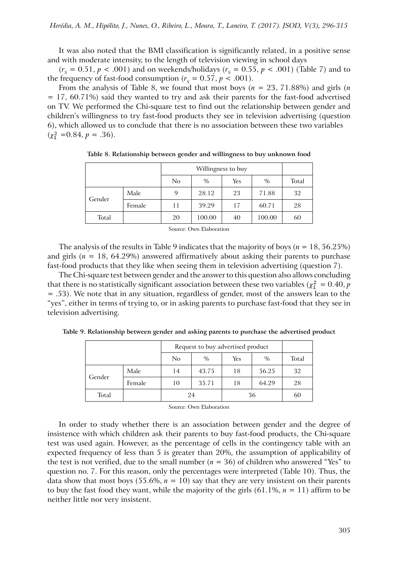It was also noted that the BMI classification is significantly related, in a positive sense and with moderate intensity, to the length of television viewing in school days

 $(r<sub>s</sub> = 0.51, p < .001)$  and on weekends/holidays  $(r<sub>s</sub> = 0.55, p < .001)$  (Table 7) and to the frequency of fast-food consumption ( $r_s = 0.57$ ,  $p < .001$ ).

From the analysis of Table 8, we found that most boys (*n* = 23, 71.88%) and girls (*n*  $= 17, 60.71\%$ ) said they wanted to try and ask their parents for the fast-food advertised on TV. We performed the Chi-square test to find out the relationship between gender and children's willingness to try fast-food products they see in television advertising (question 6), which allowed us to conclude that there is no association between these two variables  $(x_1^2 = 0.84, p = .36)$ .

|        |        | No | $\%$   | <b>Yes</b> | $\%$   | Total |
|--------|--------|----|--------|------------|--------|-------|
| Gender | Male   | 9  | 28.12  | 23         | 71.88  | 32    |
|        | Female | 11 | 39.29  | 17         | 60.71  | 28    |
| Total  |        | 20 | 100.00 | 40         | 100.00 | 60    |

**Table 8. Relationship between gender and willingness to buy unknown food**

Source: Own Elaboration

The analysis of the results in Table 9 indicates that the majority of boys (*n* = 18, 56.25%) and girls ( $n = 18$ , 64.29%) answered affirmatively about asking their parents to purchase fast-food products that they like when seeing them in television advertising (question 7).

The Chi-square test between gender and the answer to this question also allows concluding that there is no statistically significant association between these two variables ( $\chi^2_1 = 0.40$ , *p* = .53). We note that in any situation, regardless of gender, most of the answers lean to the "yes", either in terms of trying to, or in asking parents to purchase fast-food that they see in television advertising.

|        |        | Request to buy advertised product |               |     |               |       |
|--------|--------|-----------------------------------|---------------|-----|---------------|-------|
|        |        | No                                | $\frac{0}{0}$ | Yes | $\frac{0}{0}$ | Total |
|        | Male   | 14                                | 43.75         | 18  | 56.25         | 32    |
| Gender | Female | 10                                | 35.71         | 18  | 64.29         | 28    |
| Total  |        | 24                                |               | 36  |               | 60    |

**Table 9. Relationship between gender and asking parents to purchase the advertised product**

Source: Own Elaboration

In order to study whether there is an association between gender and the degree of insistence with which children ask their parents to buy fast-food products, the Chi-square test was used again. However, as the percentage of cells in the contingency table with an expected frequency of less than 5 is greater than 20%, the assumption of applicability of the test is not verified, due to the small number  $(n = 36)$  of children who answered "Yes" to question no. 7. For this reason, only the percentages were interpreted (Table 10). Thus, the data show that most boys (55.6%,  $n = 10$ ) say that they are very insistent on their parents to buy the fast food they want, while the majority of the girls  $(61.1\%, n = 11)$  affirm to be neither little nor very insistent.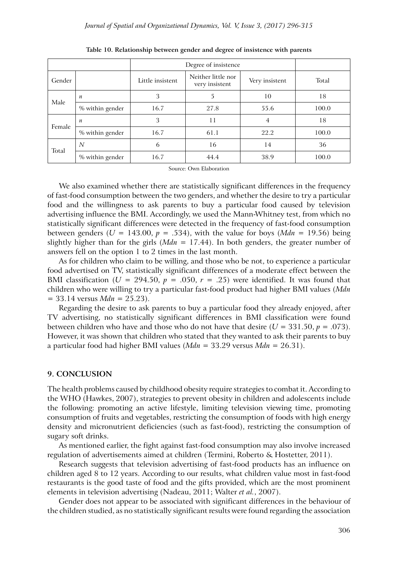|        |                  | Degree of insistence |                                      |                |       |
|--------|------------------|----------------------|--------------------------------------|----------------|-------|
| Gender |                  | Little insistent     | Neither little nor<br>very insistent | Very insistent | Total |
|        | $\boldsymbol{n}$ | 3                    | 5                                    | 10             | 18    |
| Male   | % within gender  | 16.7                 | 27.8                                 | 55.6           | 100.0 |
| Female | $\boldsymbol{n}$ | 3                    | 11                                   | $\overline{4}$ | 18    |
|        | % within gender  | 16.7                 | 61.1                                 | 22.2           | 100.0 |
| Total  | N                | 6                    | 16                                   | 14             | 36    |
|        | % within gender  | 16.7                 | 44.4                                 | 38.9           | 100.0 |

**Table 10. Relationship between gender and degree of insistence with parents**

Source: Own Elaboration

We also examined whether there are statistically significant differences in the frequency of fast-food consumption between the two genders, and whether the desire to try a particular food and the willingness to ask parents to buy a particular food caused by television advertising influence the BMI. Accordingly, we used the Mann-Whitney test, from which no statistically significant differences were detected in the frequency of fast-food consumption between genders ( $U = 143.00$ ,  $p = .534$ ), with the value for boys ( $Mdn = 19.56$ ) being slightly higher than for the girls (*Mdn* = 17.44). In both genders, the greater number of answers fell on the option 1 to 2 times in the last month.

As for children who claim to be willing, and those who be not, to experience a particular food advertised on TV, statistically significant differences of a moderate effect between the BMI classification ( $U = 294.50$ ,  $p = .050$ ,  $r = .25$ ) were identified. It was found that children who were willing to try a particular fast-food product had higher BMI values (*Mdn* = 33.14 versus *Mdn* = 25.23).

Regarding the desire to ask parents to buy a particular food they already enjoyed, after TV advertising, no statistically significant differences in BMI classification were found between children who have and those who do not have that desire  $(U = 331.50, p = .073)$ . However, it was shown that children who stated that they wanted to ask their parents to buy a particular food had higher BMI values (*Mdn* = 33.29 versus *Mdn* = 26.31).

### **9. CONCLUsion**

The health problems caused by childhood obesity require strategies to combat it. According to the WHO (Hawkes, 2007), strategies to prevent obesity in children and adolescents include the following: promoting an active lifestyle, limiting television viewing time, promoting consumption of fruits and vegetables, restricting the consumption of foods with high energy density and micronutrient deficiencies (such as fast-food), restricting the consumption of sugary soft drinks.

As mentioned earlier, the fight against fast-food consumption may also involve increased regulation of advertisements aimed at children (Termini, Roberto & Hostetter, 2011).

Research suggests that television advertising of fast-food products has an influence on children aged 8 to 12 years. According to our results, what children value most in fast-food restaurants is the good taste of food and the gifts provided, which are the most prominent elements in television advertising (Nadeau, 2011; Walter *et al.*, 2007).

Gender does not appear to be associated with significant differences in the behaviour of the children studied, as no statistically significant results were found regarding the association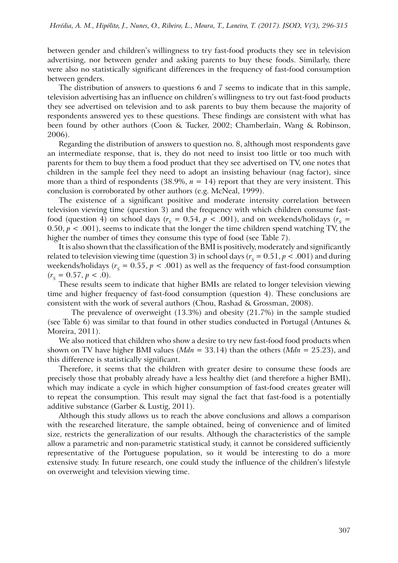between gender and children's willingness to try fast-food products they see in television advertising, nor between gender and asking parents to buy these foods. Similarly, there were also no statistically significant differences in the frequency of fast-food consumption between genders.

The distribution of answers to questions 6 and 7 seems to indicate that in this sample, television advertising has an influence on children's willingness to try out fast-food products they see advertised on television and to ask parents to buy them because the majority of respondents answered yes to these questions. These findings are consistent with what has been found by other authors (Coon & Tucker, 2002; Chamberlain, Wang & Robinson, 2006).

Regarding the distribution of answers to question no. 8, although most respondents gave an intermediate response, that is, they do not need to insist too little or too much with parents for them to buy them a food product that they see advertised on TV, one notes that children in the sample feel they need to adopt an insisting behaviour (nag factor), since more than a third of respondents (38.9%,  $n = 14$ ) report that they are very insistent. This conclusion is corroborated by other authors (e.g. McNeal, 1999).

The existence of a significant positive and moderate intensity correlation between television viewing time (question 3) and the frequency with which children consume fastfood (question 4) on school days ( $r_s = 0.54$ ,  $p < .001$ ), and on weekends/holidays ( $r_s =$ 0.50,  $p < .001$ ), seems to indicate that the longer the time children spend watching TV, the higher the number of times they consume this type of food (see Table 7).

It is also shown that the classification of the BMI is positively, moderately and significantly related to television viewing time (question 3) in school days ( $r_s = 0.51$ ,  $p < .001$ ) and during weekends/holidays ( $r_s = 0.55$ ,  $p < .001$ ) as well as the frequency of fast-food consumption  $(r<sub>s</sub> = 0.57, p < .0).$ 

These results seem to indicate that higher BMIs are related to longer television viewing time and higher frequency of fast-food consumption (question 4). These conclusions are consistent with the work of several authors (Chou, Rashad & Grossman, 2008).

The prevalence of overweight (13.3%) and obesity (21.7%) in the sample studied (see Table 6) was similar to that found in other studies conducted in Portugal (Antunes & Moreira, 2011).

We also noticed that children who show a desire to try new fast-food food products when shown on TV have higher BMI values (*Mdn* = 33.14) than the others (*Mdn* = 25.23), and this difference is statistically significant.

Therefore, it seems that the children with greater desire to consume these foods are precisely those that probably already have a less healthy diet (and therefore a higher BMI), which may indicate a cycle in which higher consumption of fast-food creates greater will to repeat the consumption. This result may signal the fact that fast-food is a potentially additive substance (Garber & Lustig, 2011).

Although this study allows us to reach the above conclusions and allows a comparison with the researched literature, the sample obtained, being of convenience and of limited size, restricts the generalization of our results. Although the characteristics of the sample allow a parametric and non-parametric statistical study, it cannot be considered sufficiently representative of the Portuguese population, so it would be interesting to do a more extensive study. In future research, one could study the influence of the children's lifestyle on overweight and television viewing time.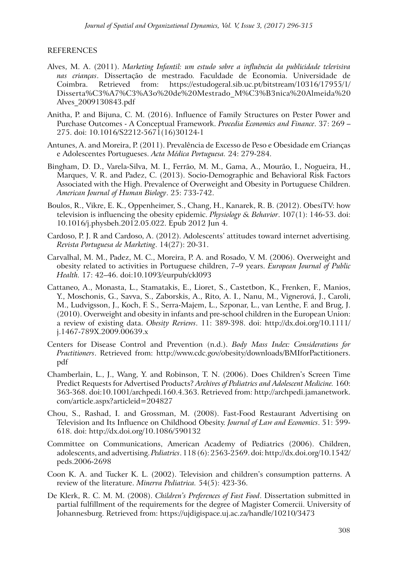### **REFERENCES**

- Alves, M. A. (2011). *Marketing Infantil: um estudo sobre a influência da publicidade televisiva nas crianças*. Dissertação de mestrado. Faculdade de Economia. Universidade de Coimbra. Retrieved from: https://estudogeral.sib.uc.pt/bitstream/10316/17955/1/ Disserta%C3%A7%C3%A3o%20de%20Mestrado\_M%C3%B3nica%20Almeida%20 Alves\_2009130843.pdf
- Anitha, P. and Bijuna, C. M. (2016). Influence of Family Structures on Pester Power and Purchase Outcomes - A Conceptual Framework. *Procedia Economics and Finance*. 37: 269 – 275. doi: 10.1016/S2212-5671(16)30124-1
- Antunes, A. and Moreira, P. (2011). Prevalência de Excesso de Peso e Obesidade em Crianças e Adolescentes Portugueses. *Acta Médica Portuguesa.* 24: 279-284.
- Bingham, D. D., Varela-Silva, M. I., Ferrão, M. M., Gama, A., Mourão, I., Nogueira, H., Marques, V. R. and Padez, C. (2013). Socio-Demographic and Behavioral Risk Factors Associated with the High. Prevalence of Overweight and Obesity in Portuguese Children. *American Journal of Human Biology*. 25: 733-742.
- Boulos, R., Vikre, E. K., Oppenheimer, S., Chang, H., Kanarek, R. B. (2012). ObesiTV: how television is influencing the obesity epidemic. *Physiology & Behavior*. 107(1): 146-53. doi: 10.1016/j.physbeh.2012.05.022. Epub 2012 Jun 4.
- Cardoso, P. J. R and Cardoso, A. (2012). Adolescents' attitudes toward internet advertising. *Revista Portuguesa de Marketing*. 14(27): 20-31.
- Carvalhal, M. M., Padez, M. C., Moreira, P. A. and Rosado, V. M. (2006). Overweight and obesity related to activities in Portuguese children, 7–9 years. *European Journal of Public Health.* 17: 42–46. doi:10.1093/eurpub/ckl093
- Cattaneo, A., Monasta, L., Stamatakis, E., Lioret, S., Castetbon, K., Frenken, F., Manios, Y., Moschonis, G., Savva, S., Zaborskis, A., Rito, A. I., Nanu, M., Vignerová, J., Caroli, M., Ludvigsson, J., Koch, F. S., Serra-Majem, L., Szponar, L., van Lenthe, F. and Brug, J. (2010). Overweight and obesity in infants and pre-school children in the European Union: a review of existing data. *Obesity Reviews*. 11: 389-398. doi: http://dx.doi.org/10.1111/ j.1467-789X.2009.00639.x
- Centers for Disease Control and Prevention (n.d.). *Body Mass Index: Considerations for Practitioners*. Retrieved from: http://www.cdc.gov/obesity/downloads/BMIforPactitioners. pdf
- Chamberlain, L., J., Wang, Y. and Robinson, T. N. (2006). Does Children's Screen Time Predict Requests for Advertised Products? *Archives of Pediatrics and Adolescent Medicine.* 160: 363-368. doi:10.1001/archpedi.160.4.363. Retrieved from: http://archpedi.jamanetwork. com/article.aspx?articleid=204827
- Chou, S., Rashad, I. and Grossman, M. (2008). Fast-Food Restaurant Advertising on Television and Its Influence on Childhood Obesity. *Journal of Law and Economics*. 51: 599- 618. doi: http://dx.doi.org/10.1086/590132
- Committee on Communications, American Academy of Pediatrics (2006). Children, adolescents, and advertising. *Pediatrics*. 118 (6): 2563-2569. doi: http://dx.doi.org/10.1542/ peds.2006-2698
- Coon K. A. and Tucker K. L. (2002). Television and children's consumption patterns. A review of the literature. *Minerva Pediatrica.* 54(5): 423-36.
- De Klerk, R. C. M. M. (2008). *Children's Preferences of Fast Food*. Dissertation submitted in partial fulfillment of the requirements for the degree of Magister Comercii. University of Johannesburg. Retrieved from: https://ujdigispace.uj.ac.za/handle/10210/3473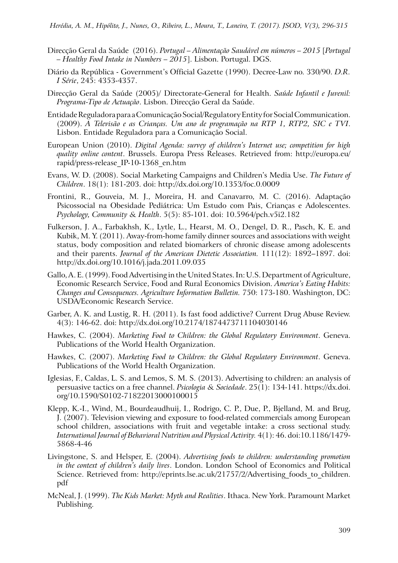- Direcção Geral da Saúde (2016). *Portugal Alimentação Saudável em números 2015* [*Portugal – Healthy Food Intake in Numbers – 2015*]. Lisbon. Portugal. DGS.
- Diário da República Government's Official Gazette (1990). Decree-Law no. 330/90. *D.R. I Série*, 245: 4353-4357.
- Direcção Geral da Saúde (2005)/ Directorate-General for Health. *Saúde Infantil e Juvenil: Programa-Tipo de Actuação*. Lisbon. Direcção Geral da Saúde.
- Entidade Reguladora para a Comunicação Social/Regulatory Entity for Social Communication. (2009). *A Televisão e as Crianças. Um ano de programação na RTP 1, RTP2, SIC e TVI*. Lisbon. Entidade Reguladora para a Comunicação Social.
- European Union (2010). *Digital Agenda: survey of children's Internet use; competition for high quality online content*. Brussels. Europa Press Releases. Retrieved from: http://europa.eu/ rapid/press-release\_IP-10-1368\_en.htm
- Evans, W. D. (2008). Social Marketing Campaigns and Children's Media Use. *The Future of Children*. 18(1): 181-203. doi: http://dx.doi.org/10.1353/foc.0.0009
- Frontini, R., Gouveia, M. J., Moreira, H. and Canavarro, M. C. (2016). Adaptação Psicossocial na Obesidade Pediátrica: Um Estudo com Pais, Crianças e Adolescentes. *Psychology, Community & Health*. 5(5): 85-101. doi: 10.5964/pch.v5i2.182
- Fulkerson, J. A., Farbakhsh, K., Lytle, L., Hearst, M. O., Dengel, D. R., Pasch, K. E. and Kubik, M. Y. (2011). Away-from-home family dinner sources and associations with weight status, body composition and related biomarkers of chronic disease among adolescents and their parents. *Journal of the American Dietetic Association.* 111(12): 1892–1897. doi: http://dx.doi.org/10.1016/j.jada.2011.09.035
- Gallo, A. E. (1999). Food Advertising in the United States. In: U.S. Department of Agriculture, Economic Research Service, Food and Rural Economics Division. *America's Eating Habits: Changes and Consequences. Agriculture Information Bulletin.* 750: 173-180. Washington, DC: USDA/Economic Research Service.
- Garber, A. K. and Lustig, R. H. (2011). Is fast food addictive? Current Drug Abuse Review. 4(3): 146-62. doi: http://dx.doi.org/10.2174/1874473711104030146
- Hawkes, C. (2004). *Marketing Food to Children: the Global Regulatory Environment*. Geneva. Publications of the World Health Organization.
- Hawkes, C. (2007). *Marketing Food to Children: the Global Regulatory Environment*. Geneva. Publications of the World Health Organization.
- Iglesias, F., Caldas, L. S. and Lemos, S. M. S. (2013). Advertising to children: an analysis of persuasive tactics on a free channel. *Psicologia & Sociedade*. 25(1): 134-141. https://dx.doi. org/10.1590/S0102-71822013000100015
- Klepp, K.-I., Wind, M., Bourdeaudhuij, I., Rodrigo, C. P., Due, P., Bjelland, M. and Brug, J. (2007). Television viewing and exposure to food-related commercials among European school children, associations with fruit and vegetable intake: a cross sectional study. *International Journal of Behavioral Nutrition and Physical Activity.* 4(1): 46. doi:10.1186/1479- 5868-4-46
- Livingstone, S. and Helsper, E. (2004). *Advertising foods to children: understanding promotion in the context of children's daily lives*. London. London School of Economics and Political Science. Retrieved from: http://eprints.lse.ac.uk/21757/2/Advertising foods to children. pdf
- McNeal, J. (1999). *The Kids Market: Myth and Realities*. Ithaca. New York. Paramount Market Publishing.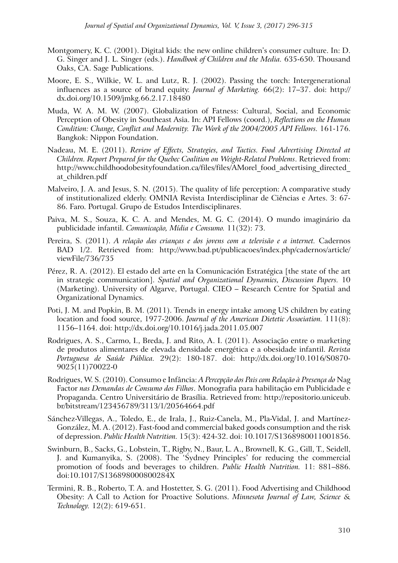- Montgomery, K. C. (2001). Digital kids: the new online children's consumer culture. In: D. G. Singer and J. L. Singer (eds.). *Handbook of Children and the Media.* 635-650. Thousand Oaks, CA. Sage Publications.
- Moore, E. S., Wilkie, W. L. and Lutz, R. J. (2002). Passing the torch: Intergenerational influences as a source of brand equity. *Journal of Marketing.* 66(2): 17–37. doi: http:// dx.doi.org/10.1509/jmkg.66.2.17.18480
- Muda, W. A. M. W. (2007). Globalization of Fatness: Cultural, Social, and Economic Perception of Obesity in Southeast Asia. In: API Fellows (coord.), *Reflections on the Human Condition: Change, Conflict and Modernity. The Work of the 2004/2005 API Fellows.* 161-176. Bangkok: Nippon Foundation.
- Nadeau, M. E. (2011). *Review of Effects, Strategies, and Tactics. Food Advertising Directed at Children. Report Prepared for the Quebec Coalition on Weight-Related Problems*. Retrieved from: http://www.childhoodobesityfoundation.ca/files/files/AMorel food advertising directed at\_children.pdf
- Malveiro, J. A. and Jesus, S. N. (2015). The quality of life perception: A comparative study of institutionalized elderly. OMNIA Revista Interdisciplinar de Ciências e Artes. 3: 67- 86. Faro. Portugal. Grupo de Estudos Interdisciplinares.
- Paiva, M. S., Souza, K. C. A. and Mendes, M. G. C. (2014). O mundo imaginário da publicidade infantil. *Comunicação, Mídia e Consumo.* 11(32): 73.
- Pereira, S. (2011). *A relação das crianças e dos jovens com a televisão e a internet.* Cadernos BAD 1/2. Retrieved from: http://www.bad.pt/publicacoes/index.php/cadernos/article/ viewFile/736/735
- Pérez, R. A. (2012). El estado del arte en la Comunicación Estratégica [the state of the art in strategic communication]. *Spatial and Organizational Dynamics, Discussion Papers.* 10 (Marketing). University of Algarve, Portugal. CIEO – Research Centre for Spatial and Organizational Dynamics.
- Poti, J. M. and Popkin, B. M. (2011). Trends in energy intake among US children by eating location and food source, 1977-2006. *Journal of the American Dietetic Association.* 111(8): 1156–1164. doi: http://dx.doi.org/10.1016/j.jada.2011.05.007
- Rodrigues, A. S., Carmo, I., Breda, J. and Rito, A. I. (2011). Associação entre o marketing de produtos alimentares de elevada densidade energética e a obesidade infantil. *Revista Portuguesa de Saúde Pública.* 29(2): 180-187. doi: http://dx.doi.org/10.1016/S0870- 9025(11)70022-0
- Rodrigues, W. S. (2010). Consumo e Infância: *A Percepção dos Pais com Relação à Presença do* Nag Factor *nas Demandas de Consumo dos Filhos*. Monografia para habilitação em Publicidade e Propaganda. Centro Universitário de Brasília. Retrieved from: http://repositorio.uniceub. br/bitstream/123456789/3113/1/20564664.pdf
- Sánchez-Villegas, A., Toledo, E., de Irala, J., Ruiz-Canela, M., Pla-Vidal, J. and Martínez-González, M. A. (2012). Fast-food and commercial baked goods consumption and the risk of depression. *Public Health Nutrition.* 15(3): 424-32. doi: 10.1017/S1368980011001856.
- Swinburn, B., Sacks, G., Lobstein, T., Rigby, N., Baur, L. A., Brownell, K. G., Gill, T., Seidell, J. and Kumanyika, S. (2008). The 'Sydney Principles' for reducing the commercial promotion of foods and beverages to children. *Public Health Nutrition.* 11: 881–886. doi:10.1017/S136898000800284X
- Termini, R. B., Roberto, T. A. and Hostetter, S. G. (2011). Food Advertising and Childhood Obesity: A Call to Action for Proactive Solutions. *Minnesota Journal of Law, Science & Technology.* 12(2): 619-651.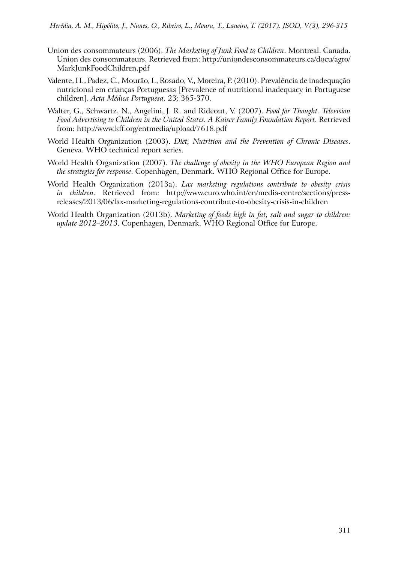- Union des consommateurs (2006). *The Marketing of Junk Food to Children*. Montreal. Canada. Union des consommateurs. Retrieved from: http://uniondesconsommateurs.ca/docu/agro/ MarkJunkFoodChildren.pdf
- Valente, H., Padez, C., Mourão, I., Rosado, V., Moreira, P. (2010). Prevalência de inadequação nutricional em crianças Portuguesas [Prevalence of nutritional inadequacy in Portuguese children]. *Acta Médica Portuguesa*. 23: 365-370.
- Walter, G., Schwartz, N., Angelini, J. R. and Rideout, V. (2007). *Food for Thought. Television Food Advertising to Children in the United States. A Kaiser Family Foundation Report*. Retrieved from: http://www.kff.org/entmedia/upload/7618.pdf
- World Health Organization (2003). *Diet, Nutrition and the Prevention of Chronic Diseases*. Geneva. WHO technical report series.
- World Health Organization (2007). *The challenge of obesity in the WHO European Region and the strategies for response*. Copenhagen, Denmark. WHO Regional Office for Europe.
- World Health Organization (2013a). *Lax marketing regulations contribute to obesity crisis in children*. Retrieved from: http://www.euro.who.int/en/media-centre/sections/pressreleases/2013/06/lax-marketing-regulations-contribute-to-obesity-crisis-in-children
- World Health Organization (2013b). *Marketing of foods high in fat, salt and sugar to children: update 2012–2013*. Copenhagen, Denmark. WHO Regional Office for Europe.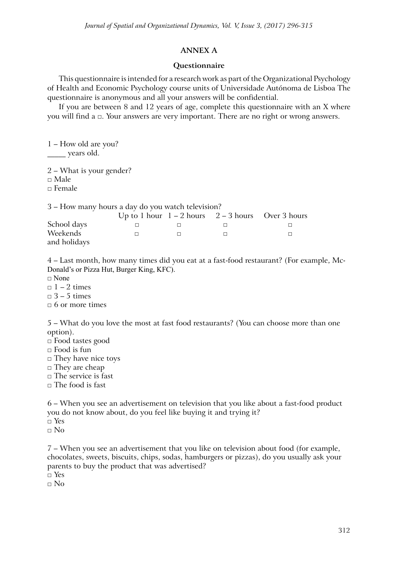### **Annex A**

### **Questionnaire**

This questionnaire is intended for a research work as part of the Organizational Psychology of Health and Economic Psychology course units of Universidade Autónoma de Lisboa The questionnaire is anonymous and all your answers will be confidential.

If you are between 8 and 12 years of age, complete this questionnaire with an X where you will find a □. Your answers are very important. There are no right or wrong answers.

1 – How old are you? \_\_\_\_\_ years old.

2 – What is your gender?

□ Male

 $\Box$  Female

|              | 3 – How many hours a day do you watch television? |  |                                                       |
|--------------|---------------------------------------------------|--|-------------------------------------------------------|
|              |                                                   |  | Up to 1 hour $1 - 2$ hours $2 - 3$ hours Over 3 hours |
| School days  |                                                   |  |                                                       |
| Weekends     |                                                   |  |                                                       |
| and holidays |                                                   |  |                                                       |

4 – Last month, how many times did you eat at a fast-food restaurant? (For example, Mc-Donald's or Pizza Hut, Burger King, KFC).

 $\Box$  None

 $\Box$  1 – 2 times

 $\Box$  3 – 5 times

 $\Box$  6 or more times

5 – What do you love the most at fast food restaurants? (You can choose more than one option).

□ Food tastes good

 $\square$  Food is fun

□ They have nice toys

□ They are cheap

 $\Box$  The service is fast

 $\Box$  The food is fast

6 – When you see an advertisement on television that you like about a fast-food product you do not know about, do you feel like buying it and trying it?  $\neg$  Yes

 $\Box$  No

7 – When you see an advertisement that you like on television about food (for example, chocolates, sweets, biscuits, chips, sodas, hamburgers or pizzas), do you usually ask your parents to buy the product that was advertised?

□ Yes

 $\Box$  No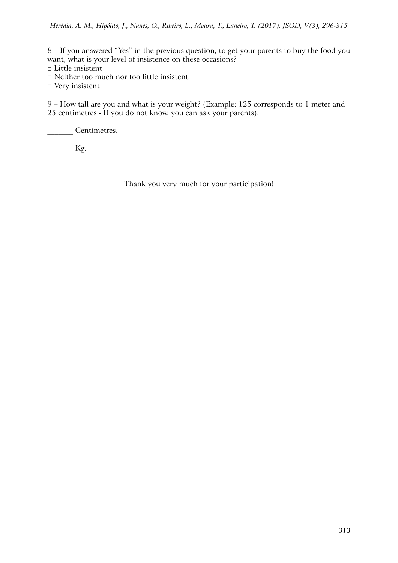8 – If you answered "Yes" in the previous question, to get your parents to buy the food you want, what is your level of insistence on these occasions?

- □ Little insistent
- □ Neither too much nor too little insistent
- □ Very insistent

9 – How tall are you and what is your weight? (Example: 125 corresponds to 1 meter and 25 centimetres - If you do not know, you can ask your parents).

\_\_\_\_\_\_\_ Centimetres.

 $\frac{1}{\sqrt{2\pi}}$  Kg.

Thank you very much for your participation!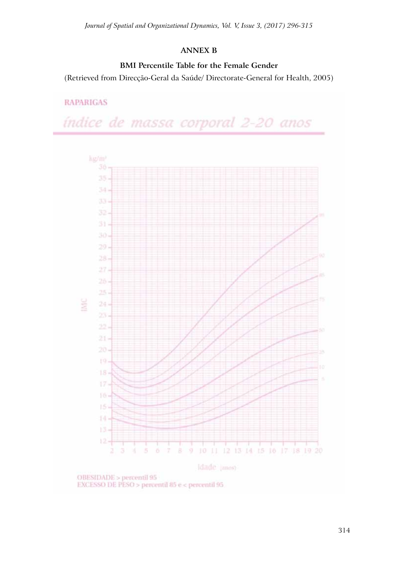# **Annex B**

# **BMI Percentile Table for the Female Gender**

(Retrieved from Direcção-Geral da Saúde/ Directorate-General for Health, 2005)

# **RAPARIGAS**

índice de massa corporal 2-20 anos